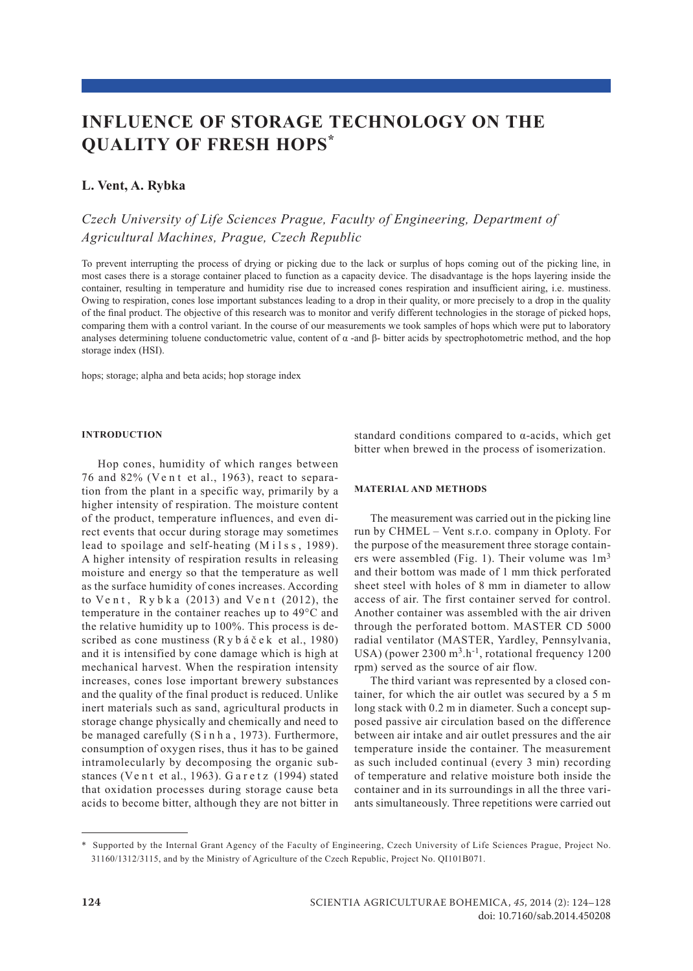# **influence of storage technology on THE quality of fresh hops\***

### **L. Vent, A. Rybka**

## *Czech University of Life Sciences Prague, Faculty of Engineering, Department of Agricultural Machines, Prague, Czech Republic*

To prevent interrupting the process of drying or picking due to the lack or surplus of hops coming out of the picking line, in most cases there is a storage container placed to function as a capacity device. The disadvantage is the hops layering inside the container, resulting in temperature and humidity rise due to increased cones respiration and insufficient airing, i.e. mustiness. Owing to respiration, cones lose important substances leading to a drop in their quality, or more precisely to a drop in the quality of the final product. The objective of this research was to monitor and verify different technologies in the storage of picked hops, comparing them with a control variant. In the course of our measurements we took samples of hops which were put to laboratory analyses determining toluene conductometric value, content of  $\alpha$  -and  $\beta$ - bitter acids by spectrophotometric method, and the hop storage index (HSI).

hops; storage; alpha and beta acids; hop storage index

#### **Introduction**

Hop cones, humidity of which ranges between 76 and 82% (Ve n t et al., 1963), react to separation from the plant in a specific way, primarily by a higher intensity of respiration. The moisture content of the product, temperature influences, and even direct events that occur during storage may sometimes lead to spoilage and self-heating (Milss, 1989). A higher intensity of respiration results in releasing moisture and energy so that the temperature as well as the surface humidity of cones increases. According to  $Vent$ ,  $R y b k a$  (2013) and  $Vent$  (2012), the temperature in the container reaches up to 49°C and the relative humidity up to 100%. This process is described as cone mustiness (R y b á č e k et al., 1980) and it is intensified by cone damage which is high at mechanical harvest. When the respiration intensity increases, cones lose important brewery substances and the quality of the final product is reduced. Unlike inert materials such as sand, agricultural products in storage change physically and chemically and need to be managed carefully  $(S \in \mathbb{R}^n)$  h a , 1973). Furthermore, consumption of oxygen rises, thus it has to be gained intramolecularly by decomposing the organic substances (Vent et al., 1963). Garetz (1994) stated that oxidation processes during storage cause beta acids to become bitter, although they are not bitter in

standard conditions compared to  $\alpha$ -acids, which get bitter when brewed in the process of isomerization.

#### **Material and methods**

The measurement was carried out in the picking line run by CHMEL – Vent s.r.o. company in Oploty. For the purpose of the measurement three storage containers were assembled (Fig. 1). Their volume was  $1m<sup>3</sup>$ and their bottom was made of 1 mm thick perforated sheet steel with holes of 8 mm in diameter to allow access of air. The first container served for control. Another container was assembled with the air driven through the perforated bottom. MASTER CD 5000 radial ventilator (MASTER, Yardley, Pennsylvania, USA) (power 2300 m<sup>3</sup>.h<sup>-1</sup>, rotational frequency 1200 rpm) served as the source of air flow.

The third variant was represented by a closed container, for which the air outlet was secured by a 5 m long stack with 0.2 m in diameter. Such a concept supposed passive air circulation based on the difference between air intake and air outlet pressures and the air temperature inside the container. The measurement as such included continual (every 3 min) recording of temperature and relative moisture both inside the container and in its surroundings in all the three variants simultaneously. Three repetitions were carried out

<sup>\*</sup> Supported by the Internal Grant Agency of the Faculty of Engineering, Czech University of Life Sciences Prague, Project No. 31160/1312/3115, and by the Ministry of Agriculture of the Czech Republic, Project No. QI101B071.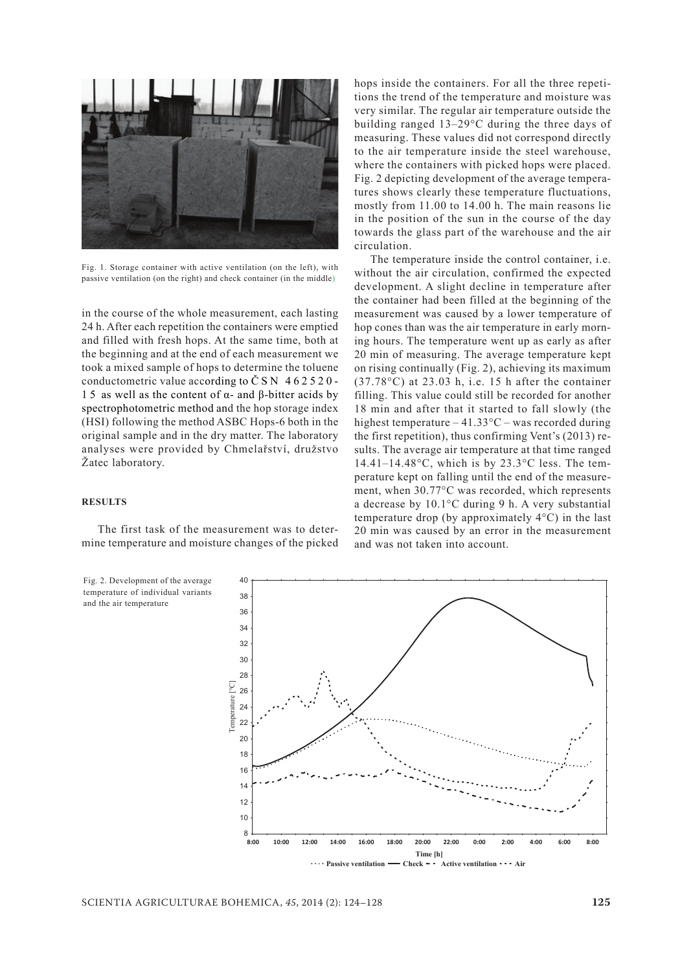

Fig. 1. Storage container with active ventilation (on the left), with passive ventilation (on the right) and check container (in the middle)

in the course of the whole measurement, each lasting 24 h. After each repetition the containers were emptied and filled with fresh hops. At the same time, both at the beginning and at the end of each measurement we took a mixed sample of hops to determine the toluene conductometric value according to  $\check{C}$  S N 4 6 2 5 2 0 -1 5 as well as the content of α- and β-bitter acids by spectrophotometric method and the hop storage index (HSI) following the method ASBC Hops-6 both in the original sample and in the dry matter. The laboratory analyses were provided by Chmelařství, družstvo Žatec laboratory.

#### **results**

The first task of the measurement was to determine temperature and moisture changes of the picked

Fig. 2. Development of the average temperature of individual variants and the air temperature

hops inside the containers. For all the three repetitions the trend of the temperature and moisture was very similar. The regular air temperature outside the building ranged 13–29°C during the three days of measuring. These values did not correspond directly to the air temperature inside the steel warehouse, where the containers with picked hops were placed. Fig. 2 depicting development of the average temperatures shows clearly these temperature fluctuations, mostly from 11.00 to 14.00 h. The main reasons lie in the position of the sun in the course of the day towards the glass part of the warehouse and the air circulation.

The temperature inside the control container, i.e. without the air circulation, confirmed the expected development. A slight decline in temperature after the container had been filled at the beginning of the measurement was caused by a lower temperature of hop cones than was the air temperature in early morning hours. The temperature went up as early as after 20 min of measuring. The average temperature kept on rising continually (Fig. 2), achieving its maximum (37.78°C) at 23.03 h, i.e. 15 h after the container filling. This value could still be recorded for another 18 min and after that it started to fall slowly (the highest temperature –  $41.33^{\circ}$ C – was recorded during the first repetition), thus confirming Vent's (2013) results. The average air temperature at that time ranged  $14.41-14.48\text{°C}$ , which is by  $23.3\text{°C}$  less. The temperature kept on falling until the end of the measurement, when 30.77°C was recorded, which represents a decrease by 10.1°C during 9 h. A very substantial temperature drop (by approximately 4°C) in the last 20 min was caused by an error in the measurement and was not taken into account.

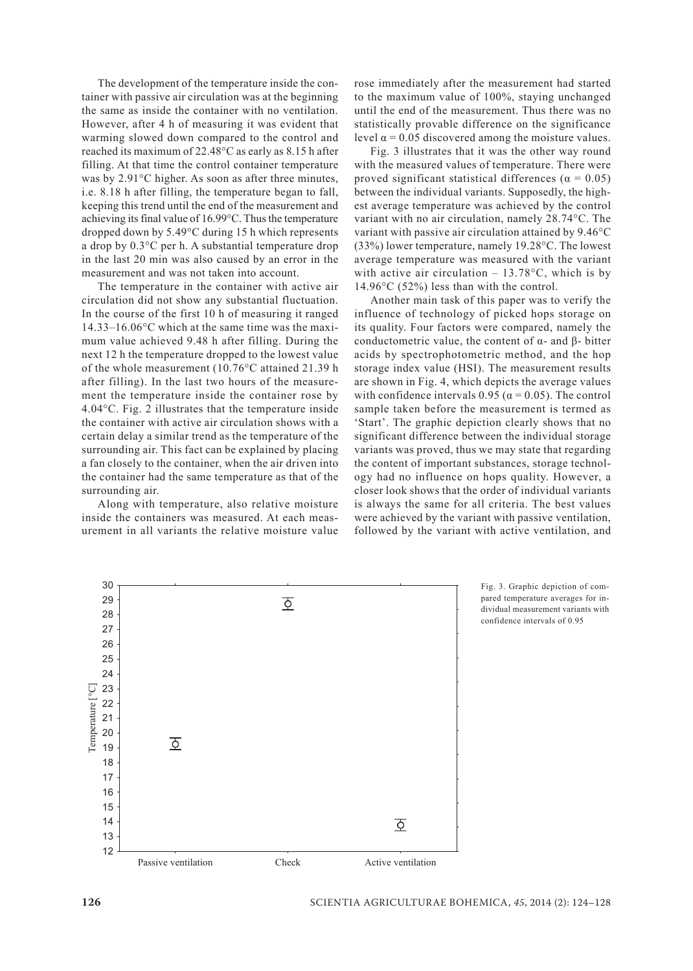The development of the temperature inside the container with passive air circulation was at the beginning the same as inside the container with no ventilation. However, after 4 h of measuring it was evident that warming slowed down compared to the control and reached its maximum of 22.48°C as early as 8.15 h after filling. At that time the control container temperature was by 2.91°C higher. As soon as after three minutes, i.e. 8.18 h after filling, the temperature began to fall, keeping this trend until the end of the measurement and achieving its final value of 16.99°C. Thus the temperature dropped down by 5.49°C during 15 h which represents a drop by 0.3°C per h. A substantial temperature drop in the last 20 min was also caused by an error in the measurement and was not taken into account.

The temperature in the container with active air circulation did not show any substantial fluctuation. In the course of the first 10 h of measuring it ranged 14.33–16.06°C which at the same time was the maximum value achieved 9.48 h after filling. During the next 12 h the temperature dropped to the lowest value of the whole measurement (10.76°C attained 21.39 h after filling). In the last two hours of the measurement the temperature inside the container rose by 4.04°C. Fig. 2 illustrates that the temperature inside the container with active air circulation shows with a certain delay a similar trend as the temperature of the surrounding air. This fact can be explained by placing a fan closely to the container, when the air driven into the container had the same temperature as that of the surrounding air.

Along with temperature, also relative moisture inside the containers was measured. At each measurement in all variants the relative moisture value rose immediately after the measurement had started to the maximum value of 100%, staying unchanged until the end of the measurement. Thus there was no statistically provable difference on the significance level  $α = 0.05$  discovered among the moisture values.

Fig. 3 illustrates that it was the other way round with the measured values of temperature. There were proved significant statistical differences ( $\alpha = 0.05$ ) between the individual variants. Supposedly, the highest average temperature was achieved by the control variant with no air circulation, namely 28.74°C. The variant with passive air circulation attained by 9.46°C (33%) lower temperature, namely 19.28°C. The lowest average temperature was measured with the variant with active air circulation  $-13.78^{\circ}$ C, which is by 14.96°C (52%) less than with the control.

Another main task of this paper was to verify the influence of technology of picked hops storage on its quality. Four factors were compared, namely the conductometric value, the content of α- and β- bitter acids by spectrophotometric method, and the hop storage index value (HSI). The measurement results are shown in Fig. 4, which depicts the average values with confidence intervals 0.95 ( $\alpha$  = 0.05). The control sample taken before the measurement is termed as 'Start'. The graphic depiction clearly shows that no significant difference between the individual storage variants was proved, thus we may state that regarding the content of important substances, storage technology had no influence on hops quality. However, a closer look shows that the order of individual variants is always the same for all criteria. The best values were achieved by the variant with passive ventilation, followed by the variant with active ventilation, and



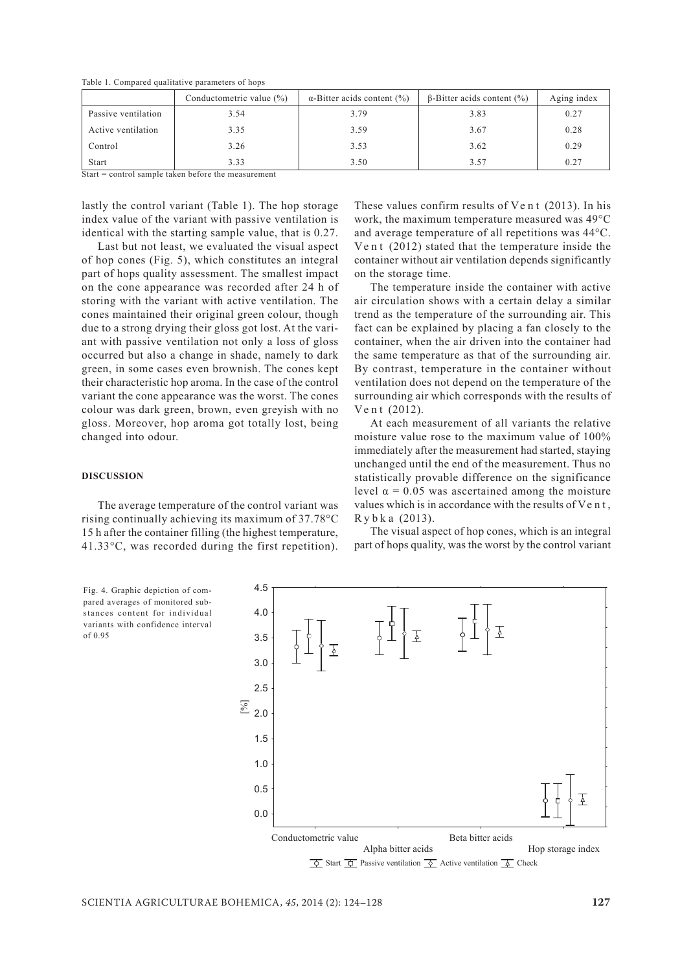|                     | Conductometric value (%) | $\alpha$ -Bitter acids content (%) | $\beta$ -Bitter acids content $(\%)$ | Aging index |
|---------------------|--------------------------|------------------------------------|--------------------------------------|-------------|
| Passive ventilation | 3.54                     | 3.79                               | 3.83                                 | 0.27        |
| Active ventilation  | 3.35                     | 3.59                               | 3.67                                 | 0.28        |
| Control             | 3.26                     | 3.53                               | 3.62                                 | 0.29        |
| <b>Start</b>        | 3.33                     | 3.50                               | 3.57                                 | 0.27        |

Table 1. Compared qualitative parameters of hops

Start = control sample taken before the measurement

lastly the control variant (Table 1). The hop storage index value of the variant with passive ventilation is identical with the starting sample value, that is 0.27.

Last but not least, we evaluated the visual aspect of hop cones (Fig. 5), which constitutes an integral part of hops quality assessment. The smallest impact on the cone appearance was recorded after 24 h of storing with the variant with active ventilation. The cones maintained their original green colour, though due to a strong drying their gloss got lost. At the variant with passive ventilation not only a loss of gloss occurred but also a change in shade, namely to dark green, in some cases even brownish. The cones kept their characteristic hop aroma. In the case of the control variant the cone appearance was the worst. The cones colour was dark green, brown, even greyish with no gloss. Moreover, hop aroma got totally lost, being changed into odour.

#### **Discussion**

The average temperature of the control variant was rising continually achieving its maximum of 37.78°C 15 h after the container filling (the highest temperature, 41.33°C, was recorded during the first repetition).

These values confirm results of  $V$ e n t (2013). In his work, the maximum temperature measured was 49°C and average temperature of all repetitions was 44°C. Ve n t  $(2012)$  stated that the temperature inside the container without air ventilation depends significantly on the storage time.

The temperature inside the container with active air circulation shows with a certain delay a similar trend as the temperature of the surrounding air. This fact can be explained by placing a fan closely to the container, when the air driven into the container had the same temperature as that of the surrounding air. By contrast, temperature in the container without ventilation does not depend on the temperature of the surrounding air which corresponds with the results of Ve n t (2012).

At each measurement of all variants the relative moisture value rose to the maximum value of 100% immediately after the measurement had started, staying unchanged until the end of the measurement. Thus no statistically provable difference on the significance level  $α = 0.05$  was ascertained among the moisture values which is in accordance with the results of Ve n t , R y b k a (2013).

The visual aspect of hop cones, which is an integral part of hops quality, was the worst by the control variant

Fig. 4. Graphic depiction of compared averages of monitored substances content for individual variants with confidence interval of 0.95